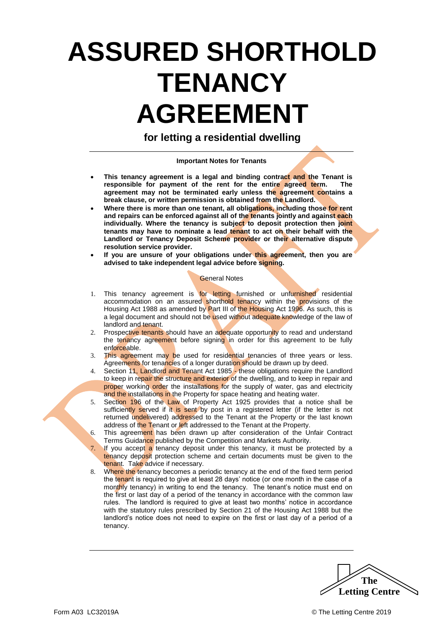# **ASSURED SHORTHOLD TENANCY AGREEMENT**

**for letting a residential dwelling**

#### **Important Notes for Tenants**

- **This tenancy agreement is a legal and binding contract and the Tenant is responsible for payment of the rent for the entire agreed term. The agreement may not be terminated early unless the agreement contains a break clause, or written permission is obtained from the Landlord.**
- **Where there is more than one tenant, all obligations, including those for rent and repairs can be enforced against all of the tenants jointly and against each individually. Where the tenancy is subject to deposit protection then joint tenants may have to nominate a lead tenant to act on their behalf with the Landlord or Tenancy Deposit Scheme provider or their alternative dispute resolution service provider.**
- **If you are unsure of your obligations under this agreement, then you are advised to take independent legal advice before signing.**

#### General Notes

- 1. This tenancy agreement is for letting furnished or unfurnished residential accommodation on an assured shorthold tenancy within the provisions of the Housing Act 1988 as amended by Part III of the Housing Act 1996. As such, this is a legal document and should not be used without adequate knowledge of the law of landlord and tenant.
- 2. Prospective tenants should have an adequate opportunity to read and understand the tenancy agreement before signing in order for this agreement to be fully enforceable.
- 3. This agreement may be used for residential tenancies of three years or less. Agreements for tenancies of a longer duration should be drawn up by deed.
- 4. Section 11, Landlord and Tenant Act 1985 these obligations require the Landlord to keep in repair the structure and exterior of the dwelling, and to keep in repair and proper working order the installations for the supply of water, gas and electricity and the installations in the Property for space heating and heating water.
- 5. Section 196 of the Law of Property Act 1925 provides that a notice shall be sufficiently served if it is sent by post in a registered letter (if the letter is not returned undelivered) addressed to the Tenant at the Property or the last known address of the Tenant or left addressed to the Tenant at the Property.
- 6. This agreement has been drawn up after consideration of the Unfair Contract Terms Guidance published by the Competition and Markets Authority.
- 7. If you accept a tenancy deposit under this tenancy, it must be protected by a tenancy deposit protection scheme and certain documents must be given to the tenant. Take advice if necessary.
- 8. Where the tenancy becomes a periodic tenancy at the end of the fixed term period the tenant is required to give at least 28 days' notice (or one month in the case of a monthly tenancy) in writing to end the tenancy. The tenant's notice must end on the first or last day of a period of the tenancy in accordance with the common law rules. The landlord is required to give at least two months' notice in accordance with the statutory rules prescribed by Section 21 of the Housing Act 1988 but the landlord's notice does not need to expire on the first or last day of a period of a tenancy.

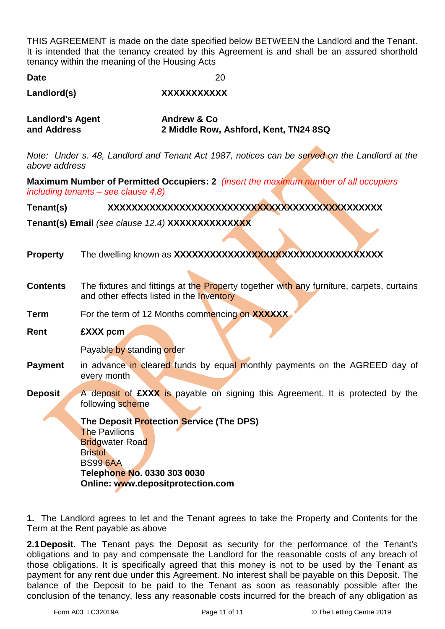THIS AGREEMENT is made on the date specified below BETWEEN the Landlord and the Tenant. It is intended that the tenancy created by this Agreement is and shall be an assured shorthold tenancy within the meaning of the Housing Acts

| <b>Date</b> | 20 |
|-------------|----|
|             |    |

**Landlord(s) XXXXXXXXXXX**

| <b>Landlord's Agent</b> | <b>Andrew &amp; Co</b>                |
|-------------------------|---------------------------------------|
| and Address             | 2 Middle Row, Ashford, Kent, TN24 8SQ |

*Note: Under s. 48, Landlord and Tenant Act 1987, notices can be served on the Landlord at the above address*

**Maximum Number of Permitted Occupiers: 2** *(insert the maximum number of all occupiers including tenants – see clause 4.8)*

#### **Tenant(s) XXXXXXXXXXXXXXXXXXXXXXXXXXXXXXXXXXXXXXXXXXXXXX**

**Tenant(s) Email** *(see clause 12.4)* **XXXXXXXXXXXXXX**

| <b>Property</b> |                                                                                                                                                                                                     |
|-----------------|-----------------------------------------------------------------------------------------------------------------------------------------------------------------------------------------------------|
| <b>Contents</b> | The fixtures and fittings at the Property together with any furniture, carpets, curtains<br>and other effects listed in the Inventory                                                               |
| <b>Term</b>     | For the term of 12 Months commencing on XXXXXX                                                                                                                                                      |
| Rent            | £XXX pcm                                                                                                                                                                                            |
|                 | Payable by standing order                                                                                                                                                                           |
| <b>Payment</b>  | in advance in cleared funds by equal monthly payments on the AGREED day of<br>every month                                                                                                           |
| <b>Deposit</b>  | A deposit of <b>EXXX</b> is payable on signing this Agreement. It is protected by the<br>following scheme                                                                                           |
|                 | The Deposit Protection Service (The DPS)<br><b>The Pavilions</b><br><b>Bridgwater Road</b><br><b>Bristol</b><br><b>BS99 6AA</b><br>Telephone No. 0330 303 0030<br>Online: www.depositprotection.com |

**1.** The Landlord agrees to let and the Tenant agrees to take the Property and Contents for the Term at the Rent payable as above

**2.1Deposit.** The Tenant pays the Deposit as security for the performance of the Tenant's obligations and to pay and compensate the Landlord for the reasonable costs of any breach of those obligations. It is specifically agreed that this money is not to be used by the Tenant as payment for any rent due under this Agreement. No interest shall be payable on this Deposit. The balance of the Deposit to be paid to the Tenant as soon as reasonably possible after the conclusion of the tenancy, less any reasonable costs incurred for the breach of any obligation as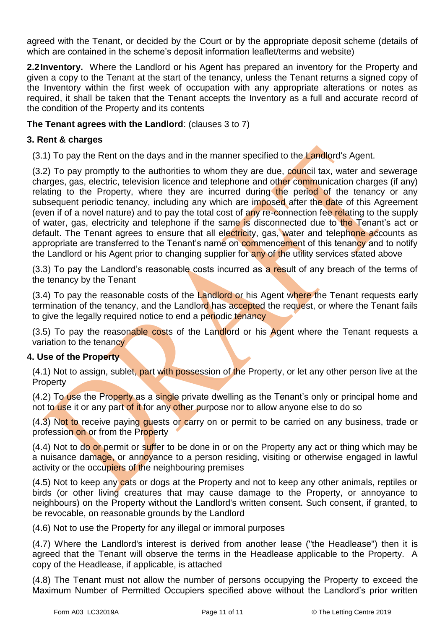agreed with the Tenant, or decided by the Court or by the appropriate deposit scheme (details of which are contained in the scheme's deposit information leaflet/terms and website)

**2.2Inventory.** Where the Landlord or his Agent has prepared an inventory for the Property and given a copy to the Tenant at the start of the tenancy, unless the Tenant returns a signed copy of the Inventory within the first week of occupation with any appropriate alterations or notes as required, it shall be taken that the Tenant accepts the Inventory as a full and accurate record of the condition of the Property and its contents

#### **The Tenant agrees with the Landlord**: (clauses 3 to 7)

#### **3. Rent & charges**

(3.1) To pay the Rent on the days and in the manner specified to the Landlord's Agent.

(3.2) To pay promptly to the authorities to whom they are due, council tax, water and sewerage charges, gas, electric, television licence and telephone and other communication charges (if any) relating to the Property, where they are incurred during the period of the tenancy or any subsequent periodic tenancy, including any which are imposed after the date of this Agreement (even if of a novel nature) and to pay the total cost of any re-connection fee relating to the supply of water, gas, electricity and telephone if the same is disconnected due to the Tenant's act or default. The Tenant agrees to ensure that all electricity, gas, water and telephone accounts as appropriate are transferred to the Tenant's name on commencement of this tenancy and to notify the Landlord or his Agent prior to changing supplier for any of the utility services stated above

(3.3) To pay the Landlord's reasonable costs incurred as a result of any breach of the terms of the tenancy by the Tenant

(3.4) To pay the reasonable costs of the Landlord or his Agent where the Tenant requests early termination of the tenancy, and the Landlord has accepted the request, or where the Tenant fails to give the legally required notice to end a periodic tenancy

(3.5) To pay the reasonable costs of the Landlord or his Agent where the Tenant requests a variation to the tenancy

#### **4. Use of the Property**

(4.1) Not to assign, sublet, part with possession of the Property, or let any other person live at the Property

(4.2) To use the Property as a single private dwelling as the Tenant's only or principal home and not to use it or any part of it for any other purpose nor to allow anyone else to do so

(4.3) Not to receive paying guests or carry on or permit to be carried on any business, trade or profession on or from the Property

(4.4) Not to do or permit or suffer to be done in or on the Property any act or thing which may be a nuisance damage, or annoyance to a person residing, visiting or otherwise engaged in lawful activity or the occupiers of the neighbouring premises

(4.5) Not to keep any cats or dogs at the Property and not to keep any other animals, reptiles or birds (or other living creatures that may cause damage to the Property, or annoyance to neighbours) on the Property without the Landlord's written consent. Such consent, if granted, to be revocable, on reasonable grounds by the Landlord

(4.6) Not to use the Property for any illegal or immoral purposes

(4.7) Where the Landlord's interest is derived from another lease ("the Headlease") then it is agreed that the Tenant will observe the terms in the Headlease applicable to the Property. A copy of the Headlease, if applicable, is attached

(4.8) The Tenant must not allow the number of persons occupying the Property to exceed the Maximum Number of Permitted Occupiers specified above without the Landlord's prior written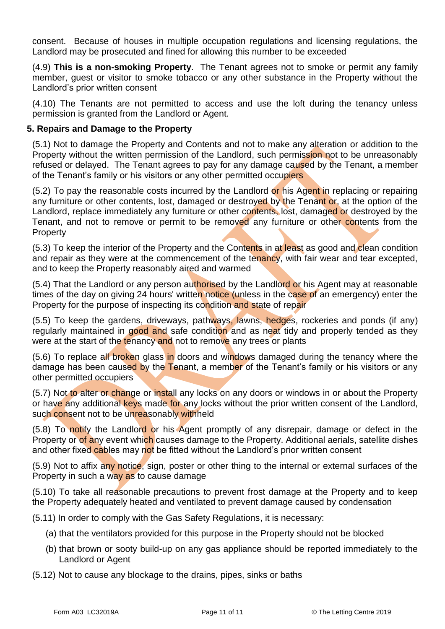consent. Because of houses in multiple occupation regulations and licensing regulations, the Landlord may be prosecuted and fined for allowing this number to be exceeded

(4.9) **This is a non-smoking Property**. The Tenant agrees not to smoke or permit any family member, guest or visitor to smoke tobacco or any other substance in the Property without the Landlord's prior written consent

(4.10) The Tenants are not permitted to access and use the loft during the tenancy unless permission is granted from the Landlord or Agent.

#### **5. Repairs and Damage to the Property**

(5.1) Not to damage the Property and Contents and not to make any alteration or addition to the Property without the written permission of the Landlord, such permission not to be unreasonably refused or delayed. The Tenant agrees to pay for any damage caused by the Tenant, a member of the Tenant's family or his visitors or any other permitted occupiers

(5.2) To pay the reasonable costs incurred by the Landlord or his Agent in replacing or repairing any furniture or other contents, lost, damaged or destroyed by the Tenant or, at the option of the Landlord, replace immediately any furniture or other contents, lost, damaged or destroyed by the Tenant, and not to remove or permit to be removed any furniture or other contents from the **Property** 

(5.3) To keep the interior of the Property and the Contents in at least as good and clean condition and repair as they were at the commencement of the tenancy, with fair wear and tear excepted, and to keep the Property reasonably aired and warmed

(5.4) That the Landlord or any person authorised by the Landlord or his Agent may at reasonable times of the day on giving 24 hours' written notice (unless in the case of an emergency) enter the Property for the purpose of inspecting its condition and state of repair

(5.5) To keep the gardens, driveways, pathways, lawns, hedges, rockeries and ponds (if any) regularly maintained in good and safe condition and as neat tidy and properly tended as they were at the start of the tenancy and not to remove any trees or plants

(5.6) To replace all broken glass in doors and windows damaged during the tenancy where the damage has been caused by the Tenant, a member of the Tenant's family or his visitors or any other permitted occupiers

(5.7) Not to alter or change or install any locks on any doors or windows in or about the Property or have any additional keys made for any locks without the prior written consent of the Landlord, such consent not to be unreasonably withheld

(5.8) To notify the Landlord or his Agent promptly of any disrepair, damage or defect in the Property or of any event which causes damage to the Property. Additional aerials, satellite dishes and other fixed cables may not be fitted without the Landlord's prior written consent

(5.9) Not to affix any notice, sign, poster or other thing to the internal or external surfaces of the Property in such a way as to cause damage

(5.10) To take all reasonable precautions to prevent frost damage at the Property and to keep the Property adequately heated and ventilated to prevent damage caused by condensation

(5.11) In order to comply with the Gas Safety Regulations, it is necessary:

- (a) that the ventilators provided for this purpose in the Property should not be blocked
- (b) that brown or sooty build-up on any gas appliance should be reported immediately to the Landlord or Agent
- (5.12) Not to cause any blockage to the drains, pipes, sinks or baths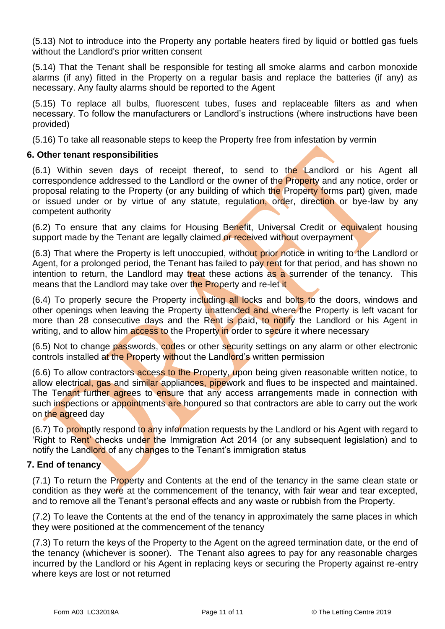(5.13) Not to introduce into the Property any portable heaters fired by liquid or bottled gas fuels without the Landlord's prior written consent

(5.14) That the Tenant shall be responsible for testing all smoke alarms and carbon monoxide alarms (if any) fitted in the Property on a regular basis and replace the batteries (if any) as necessary. Any faulty alarms should be reported to the Agent

(5.15) To replace all bulbs, fluorescent tubes, fuses and replaceable filters as and when necessary. To follow the manufacturers or Landlord's instructions (where instructions have been provided)

(5.16) To take all reasonable steps to keep the Property free from infestation by vermin

#### **6. Other tenant responsibilities**

(6.1) Within seven days of receipt thereof, to send to the Landlord or his Agent all correspondence addressed to the Landlord or the owner of the Property and any notice, order or proposal relating to the Property (or any building of which the Property forms part) given, made or issued under or by virtue of any statute, regulation, order, direction or bye-law by any competent authority

(6.2) To ensure that any claims for Housing Benefit, Universal Credit or equivalent housing support made by the Tenant are legally claimed or received without overpayment

(6.3) That where the Property is left unoccupied, without prior notice in writing to the Landlord or Agent, for a prolonged period, the Tenant has failed to pay rent for that period, and has shown no intention to return, the Landlord may treat these actions as a surrender of the tenancy. This means that the Landlord may take over the Property and re-let it

(6.4) To properly secure the Property including all locks and bolts to the doors, windows and other openings when leaving the Property unattended and where the Property is left vacant for more than 28 consecutive days and the Rent is paid, to notify the Landlord or his Agent in writing, and to allow him access to the Property in order to secure it where necessary

(6.5) Not to change passwords, codes or other security settings on any alarm or other electronic controls installed at the Property without the Landlord's written permission

(6.6) To allow contractors access to the Property, upon being given reasonable written notice, to allow electrical, gas and similar appliances, pipework and flues to be inspected and maintained. The Tenant further agrees to ensure that any access arrangements made in connection with such inspections or appointments are honoured so that contractors are able to carry out the work on the agreed day

(6.7) To promptly respond to any information requests by the Landlord or his Agent with regard to 'Right to Rent' checks under the Immigration Act 2014 (or any subsequent legislation) and to notify the Landlord of any changes to the Tenant's immigration status

#### **7. End of tenancy**

(7.1) To return the Property and Contents at the end of the tenancy in the same clean state or condition as they were at the commencement of the tenancy, with fair wear and tear excepted, and to remove all the Tenant's personal effects and any waste or rubbish from the Property.

(7.2) To leave the Contents at the end of the tenancy in approximately the same places in which they were positioned at the commencement of the tenancy

(7.3) To return the keys of the Property to the Agent on the agreed termination date, or the end of the tenancy (whichever is sooner). The Tenant also agrees to pay for any reasonable charges incurred by the Landlord or his Agent in replacing keys or securing the Property against re-entry where keys are lost or not returned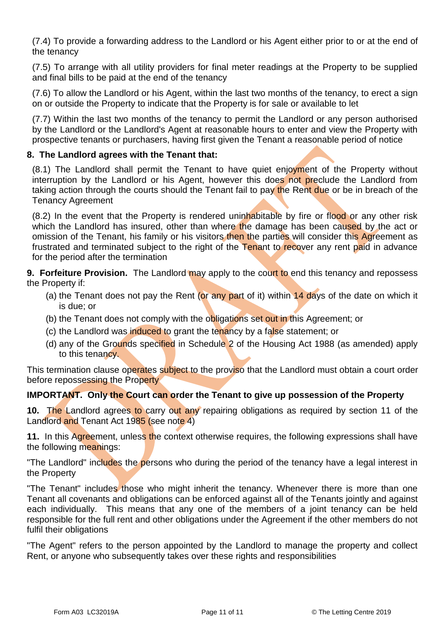(7.4) To provide a forwarding address to the Landlord or his Agent either prior to or at the end of the tenancy

(7.5) To arrange with all utility providers for final meter readings at the Property to be supplied and final bills to be paid at the end of the tenancy

(7.6) To allow the Landlord or his Agent, within the last two months of the tenancy, to erect a sign on or outside the Property to indicate that the Property is for sale or available to let

(7.7) Within the last two months of the tenancy to permit the Landlord or any person authorised by the Landlord or the Landlord's Agent at reasonable hours to enter and view the Property with prospective tenants or purchasers, having first given the Tenant a reasonable period of notice

#### **8. The Landlord agrees with the Tenant that:**

 $(8.1)$  The Landlord shall permit the Tenant to have quiet enjoyment of the Property without interruption by the Landlord or his Agent, however this does not preclude the Landlord from taking action through the courts should the Tenant fail to pay the Rent due or be in breach of the Tenancy Agreement

(8.2) In the event that the Property is rendered uninhabitable by fire or flood or any other risk which the Landlord has insured, other than where the damage has been caused by the act or omission of the Tenant, his family or his visitors then the parties will consider this Agreement as frustrated and terminated subject to the right of the Tenant to recover any rent paid in advance for the period after the termination

**9. Forfeiture Provision.** The Landlord may apply to the court to end this tenancy and repossess the Property if:

- (a) the Tenant does not pay the Rent (or any part of it) within 14 days of the date on which it is due; or
- (b) the Tenant does not comply with the obligations set out in this Agreement; or
- (c) the Landlord was induced to grant the tenancy by a false statement; or
- (d) any of the Grounds specified in Schedule 2 of the Housing Act 1988 (as amended) apply to this tenancy.

This termination clause operates subject to the proviso that the Landlord must obtain a court order before repossessing the Property

#### **IMPORTANT. Only the Court can order the Tenant to give up possession of the Property**

**10.** The Landlord agrees to carry out any repairing obligations as required by section 11 of the Landlord and Tenant Act 1985 (see note 4)

**11.** In this Agreement, unless the context otherwise requires, the following expressions shall have the following meanings:

"The Landlord" includes the persons who during the period of the tenancy have a legal interest in the Property

"The Tenant" includes those who might inherit the tenancy. Whenever there is more than one Tenant all covenants and obligations can be enforced against all of the Tenants jointly and against each individually. This means that any one of the members of a joint tenancy can be held responsible for the full rent and other obligations under the Agreement if the other members do not fulfil their obligations

"The Agent" refers to the person appointed by the Landlord to manage the property and collect Rent, or anyone who subsequently takes over these rights and responsibilities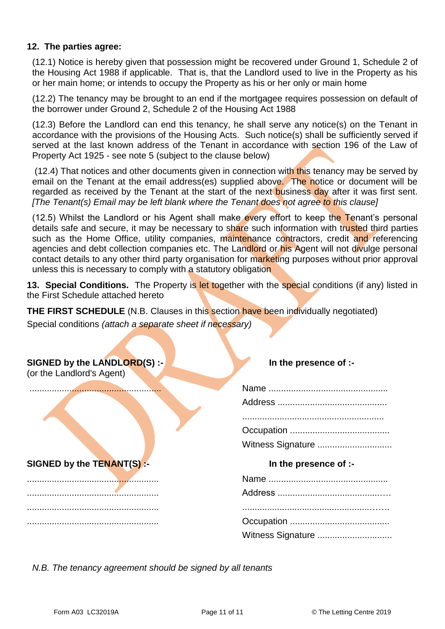#### **12. The parties agree:**

(12.1) Notice is hereby given that possession might be recovered under Ground 1, Schedule 2 of the Housing Act 1988 if applicable. That is, that the Landlord used to live in the Property as his or her main home; or intends to occupy the Property as his or her only or main home

(12.2) The tenancy may be brought to an end if the mortgagee requires possession on default of the borrower under Ground 2, Schedule 2 of the Housing Act 1988

(12.3) Before the Landlord can end this tenancy, he shall serve any notice(s) on the Tenant in accordance with the provisions of the Housing Acts. Such notice(s) shall be sufficiently served if served at the last known address of the Tenant in accordance with section 196 of the Law of Property Act 1925 - see note 5 (subject to the clause below)

(12.4) That notices and other documents given in connection with this tenancy may be served by email on the Tenant at the email address(es) supplied above. The notice or document will be regarded as received by the Tenant at the start of the next business day after it was first sent. *[The Tenant(s) Email may be left blank where the Tenant does not agree to this clause]*

(12.5) Whilst the Landlord or his Agent shall make every effort to keep the Tenant's personal details safe and secure, it may be necessary to share such information with trusted third parties such as the Home Office, utility companies, maintenance contractors, credit and referencing agencies and debt collection companies etc. The Landlord or his Agent will not divulge personal contact details to any other third party organisation for marketing purposes without prior approval unless this is necessary to comply with a statutory obligation

**13. Special Conditions.** The Property is let together with the special conditions (if any) listed in the First Schedule attached hereto

**THE FIRST SCHEDULE** (N.B. Clauses in this section have been individually negotiated)

Special conditions *(attach a separate sheet if necessary)*

**SIGNED by the LANDLORD(S) :- In the presence of :-**

(or the Landlord's Agent)

..................................................... Name ................................................

**SIGNED by the TENANT(S) :- In the presence of :-**

..................................................... Name ................................................ ..................................................... Address .........................................…. ..................................................... ...................................................……. ..................................................... Occupation ........................................

| Witness Signature |
|-------------------|

| Witness Signature |  |
|-------------------|--|

*N.B. The tenancy agreement should be signed by all tenants*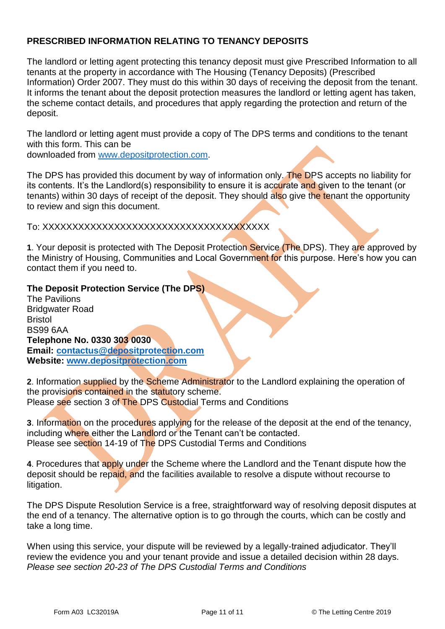## **PRESCRIBED INFORMATION RELATING TO TENANCY DEPOSITS**

The landlord or letting agent protecting this tenancy deposit must give Prescribed Information to all tenants at the property in accordance with The Housing (Tenancy Deposits) (Prescribed Information) Order 2007. They must do this within 30 days of receiving the deposit from the tenant. It informs the tenant about the deposit protection measures the landlord or letting agent has taken, the scheme contact details, and procedures that apply regarding the protection and return of the deposit.

The landlord or letting agent must provide a copy of The DPS terms and conditions to the tenant with this form. This can be

downloaded from [www.depositprotection.com.](http://www.depositprotection.com/)

The DPS has provided this document by way of information only. The DPS accepts no liability for its contents. It's the Landlord(s) responsibility to ensure it is accurate and given to the tenant (or tenants) within 30 days of receipt of the deposit. They should also give the tenant the opportunity to review and sign this document.

To: XXXXXXXXXXXXXXXXXXXXXXXXXXXXXXXXXXXXXX

**1**. Your deposit is protected with The Deposit Protection Service (The DPS). They are approved by the Ministry of Housing, Communities and Local Government for this purpose. Here's how you can contact them if you need to.

#### **The Deposit Protection Service (The DPS)**

The Pavilions Bridgwater Road Bristol BS99 6AA **Telephone No. 0330 303 0030 Email: [contactus@depositprotection.com](mailto:contactus@depositprotection.com) Website: [www.depositprotection.com](http://www.depositprotection.com/)**

**2**. Information supplied by the Scheme Administrator to the Landlord explaining the operation of the provisions contained in the statutory scheme. Please see section 3 of The DPS Custodial Terms and Conditions

**3**. Information on the procedures applying for the release of the deposit at the end of the tenancy, including where either the Landlord or the Tenant can't be contacted. Please see section 14-19 of The DPS Custodial Terms and Conditions

**4**. Procedures that apply under the Scheme where the Landlord and the Tenant dispute how the deposit should be repaid, and the facilities available to resolve a dispute without recourse to litigation.

The DPS Dispute Resolution Service is a free, straightforward way of resolving deposit disputes at the end of a tenancy. The alternative option is to go through the courts, which can be costly and take a long time.

When using this service, your dispute will be reviewed by a legally-trained adjudicator. They'll review the evidence you and your tenant provide and issue a detailed decision within 28 days. *Please see section 20-23 of The DPS Custodial Terms and Conditions*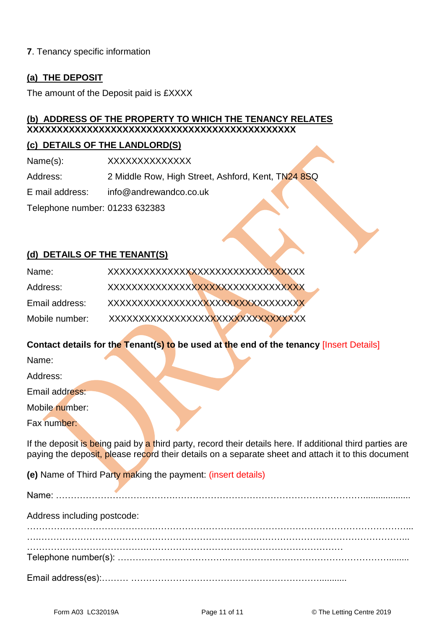#### **7**. Tenancy specific information

#### **(a) THE DEPOSIT**

The amount of the Deposit paid is £XXXX

## **(b) ADDRESS OF THE PROPERTY TO WHICH THE TENANCY RELATES XXXXXXXXXXXXXXXXXXXXXXXXXXXXXXXXXXXXXXXXXXXXX**

#### **(c) DETAILS OF THE LANDLORD(S)**

Name(s): XXXXXXXXXXXXX

Address: 2 Middle Row, High Street, Ashford, Kent, TN24 8SQ

E mail address: info@andrewandco.co.uk

Telephone number: 01233 632383

# **(d) DETAILS OF THE TENANT(S)**

| Name:          | XXXXXXXXXXXXXXXXXXXXXXXXXXXXXXXXX  |
|----------------|------------------------------------|
| Address:       | XXXXXXXXXXXXXXXXXXXXXXXXXXXXXXXXXX |
| Email address: |                                    |
| Mobile number: | XXXXXXXXXXXXXXXXXXXXXXXXXXXXXXXXX  |

#### **Contact details for the Tenant(s) to be used at the end of the tenancy** [Insert Details]

Name:

Address:

Email address:

Mobile number:

Fax number:

If the deposit is being paid by a third party, record their details here. If additional third parties are paying the deposit, please record their details on a separate sheet and attach it to this document

**(e)** Name of Third Party making the payment: (insert details)

| Address including postcode: |  |  |
|-----------------------------|--|--|
|                             |  |  |
|                             |  |  |
|                             |  |  |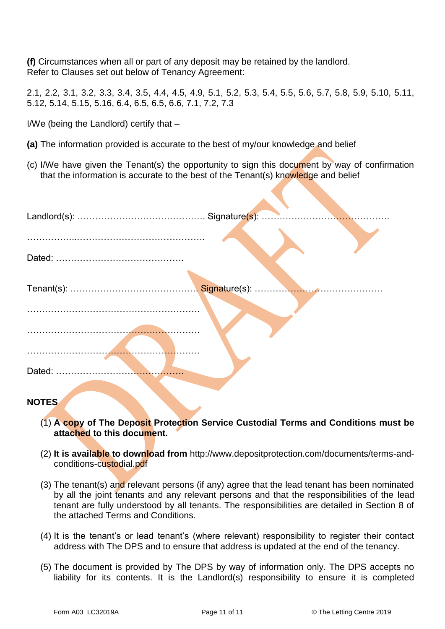**(f)** Circumstances when all or part of any deposit may be retained by the landlord. Refer to Clauses set out below of Tenancy Agreement:

2.1, 2.2, 3.1, 3.2, 3.3, 3.4, 3.5, 4.4, 4.5, 4.9, 5.1, 5.2, 5.3, 5.4, 5.5, 5.6, 5.7, 5.8, 5.9, 5.10, 5.11, 5.12, 5.14, 5.15, 5.16, 6.4, 6.5, 6.5, 6.6, 7.1, 7.2, 7.3

I/We (being the Landlord) certify that –

- **(a)** The information provided is accurate to the best of my/our knowledge and belief
- (c) I/We have given the Tenant(s) the opportunity to sign this document by way of confirmation that the information is accurate to the best of the Tenant(s) knowledge and belief

## **NOTES**

- (1) **A copy of The Deposit Protection Service Custodial Terms and Conditions must be attached to this document.**
- (2) **It is available to download from** http://www.depositprotection.com/documents/terms-andconditions-custodial.pdf
- (3) The tenant(s) and relevant persons (if any) agree that the lead tenant has been nominated by all the joint tenants and any relevant persons and that the responsibilities of the lead tenant are fully understood by all tenants. The responsibilities are detailed in Section 8 of the attached Terms and Conditions.
- (4) It is the tenant's or lead tenant's (where relevant) responsibility to register their contact address with The DPS and to ensure that address is updated at the end of the tenancy.
- (5) The document is provided by The DPS by way of information only. The DPS accepts no liability for its contents. It is the Landlord(s) responsibility to ensure it is completed